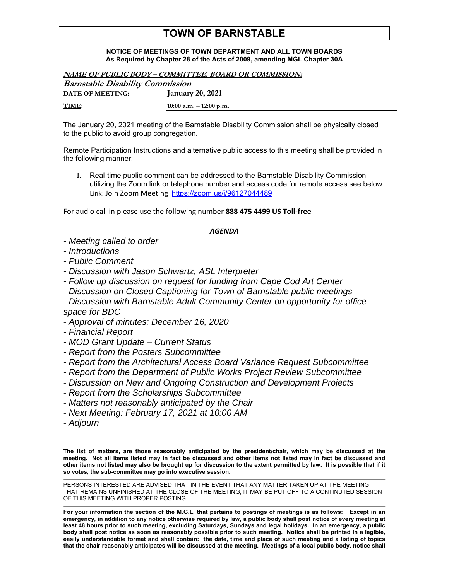## **TOWN OF BARNSTABLE**

## **NOTICE OF MEETINGS OF TOWN DEPARTMENT AND ALL TOWN BOARDS As Required by Chapter 28 of the Acts of 2009, amending MGL Chapter 30A**

| NAME OF PUBLIC BODY – COMMITTEE, BOARD OR COMMISSION: |                           |
|-------------------------------------------------------|---------------------------|
| <b>Barnstable Disability Commission</b>               |                           |
| <b>DATE OF MEETING:</b>                               | January 20, 2021          |
| TIME:                                                 | 10:00 a.m. $-$ 12:00 p.m. |

The January 20, 2021 meeting of the Barnstable Disability Commission shall be physically closed to the public to avoid group congregation.

Remote Participation Instructions and alternative public access to this meeting shall be provided in the following manner:

**1.** Real-time public comment can be addressed to the Barnstable Disability Commission utilizing the Zoom link or telephone number and access code for remote access see below. Link: Join Zoom Meeting https://zoom.us/j/96127044489

For audio call in please use the following number **888 475 4499 US Toll-free**

## *AGENDA*

- *Meeting called to order*
- *Introductions*
- *Public Comment*
- *Discussion with Jason Schwartz, ASL Interpreter*
- *Follow up discussion on request for funding from Cape Cod Art Center*
- *Discussion on Closed Captioning for Town of Barnstable public meetings*

*- Discussion with Barnstable Adult Community Center on opportunity for office space for BDC* 

- *Approval of minutes: December 16, 2020*
- *Financial Report*
- *MOD Grant Update Current Status*
- *Report from the Posters Subcommittee*
- *Report from the Architectural Access Board Variance Request Subcommittee*
- *Report from the Department of Public Works Project Review Subcommittee*
- *Discussion on New and Ongoing Construction and Development Projects*
- *Report from the Scholarships Subcommittee*
- *Matters not reasonably anticipated by the Chair*
- *Next Meeting: February 17, 2021 at 10:00 AM*
- *Adjourn*

**The list of matters, are those reasonably anticipated by the president/chair, which may be discussed at the meeting. Not all items listed may in fact be discussed and other items not listed may in fact be discussed and other items not listed may also be brought up for discussion to the extent permitted by law. It is possible that if it so votes, the sub-committee may go into executive session.** 

PERSONS INTERESTED ARE ADVISED THAT IN THE EVENT THAT ANY MATTER TAKEN UP AT THE MEETING THAT REMAINS UNFINISHED AT THE CLOSE OF THE MEETING, IT MAY BE PUT OFF TO A CONTINUTED SESSION OF THIS MEETING WITH PROPER POSTING.

**For your information the section of the M.G.L. that pertains to postings of meetings is as follows: Except in an emergency, in addition to any notice otherwise required by law, a public body shall post notice of every meeting at least 48 hours prior to such meeting, excluding Saturdays, Sundays and legal holidays. In an emergency, a public body shall post notice as soon as reasonably possible prior to such meeting. Notice shall be printed in a legible, easily understandable format and shall contain: the date, time and place of such meeting and a listing of topics that the chair reasonably anticipates will be discussed at the meeting. Meetings of a local public body, notice shall**